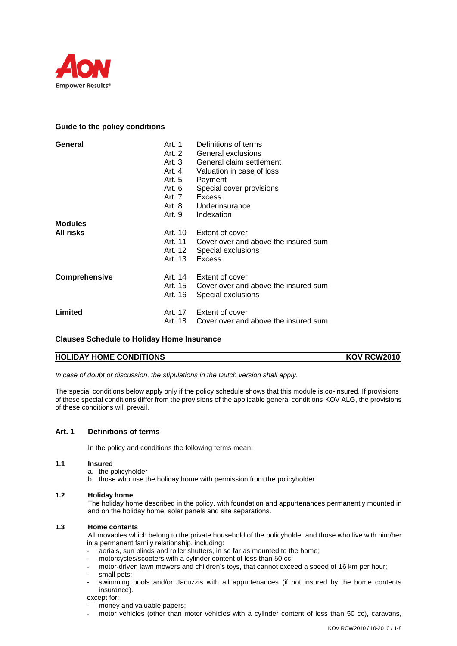

# **Guide to the policy conditions**

| General          | Art. 1<br>Art. 2<br>Art. $3$<br>Art. 4<br>Art. 5<br>Art. 6<br>Art. 7<br>Art. 9 | Definitions of terms<br>General exclusions<br>General claim settlement<br>Valuation in case of loss<br>Payment<br>Special cover provisions<br>Excess<br>Art. 8 Underinsurance<br>Indexation |
|------------------|--------------------------------------------------------------------------------|---------------------------------------------------------------------------------------------------------------------------------------------------------------------------------------------|
| <b>Modules</b>   |                                                                                |                                                                                                                                                                                             |
| <b>All risks</b> | Art. 12<br>Art. 13                                                             | Art. 10 Extent of cover<br>Art, 11 Cover over and above the insured sum<br>Special exclusions<br>Excess                                                                                     |
| Comprehensive    | Art. 16                                                                        | Art. 14 Extent of cover<br>Art. 15 Cover over and above the insured sum<br>Special exclusions                                                                                               |
| Limited          | Art. 18                                                                        | Art. 17 Extent of cover<br>Cover over and above the insured sum                                                                                                                             |

## **Clauses Schedule to Holiday Home Insurance**

# **HOLIDAY HOME CONDITIONS** KOV RCW2010

*In case of doubt or discussion, the stipulations in the Dutch version shall apply.*

The special conditions below apply only if the policy schedule shows that this module is co-insured. If provisions of these special conditions differ from the provisions of the applicable general conditions KOV ALG, the provisions of these conditions will prevail.

## **Art. 1 Definitions of terms**

In the policy and conditions the following terms mean:

### **1.1 Insured**

- a. the policyholder
- b. those who use the holiday home with permission from the policyholder.

### **1.2 Holiday home**

The holiday home described in the policy, with foundation and appurtenances permanently mounted in and on the holiday home, solar panels and site separations.

### **1.3 Home contents**

All movables which belong to the private household of the policyholder and those who live with him/her in a permanent family relationship, including:

- aerials, sun blinds and roller shutters, in so far as mounted to the home;
- motorcycles/scooters with a cylinder content of less than 50 cc;
- motor-driven lawn mowers and children's toys, that cannot exceed a speed of 16 km per hour;
- small pets;
- swimming pools and/or Jacuzzis with all appurtenances (if not insured by the home contents insurance).

except for:

- money and valuable papers;
- motor vehicles (other than motor vehicles with a cylinder content of less than 50 cc), caravans,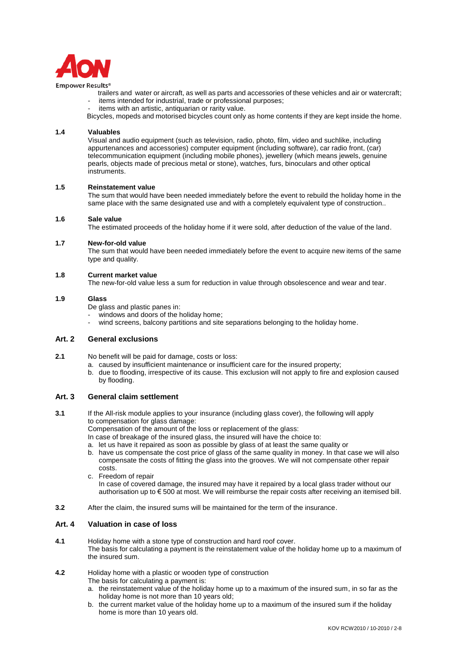

trailers and water or aircraft, as well as parts and accessories of these vehicles and air or watercraft; items intended for industrial, trade or professional purposes;

items with an artistic, antiquarian or rarity value.

Bicycles, mopeds and motorised bicycles count only as home contents if they are kept inside the home.

### **1.4 Valuables**

Visual and audio equipment (such as television, radio, photo, film, video and suchlike, including appurtenances and accessories) computer equipment (including software), car radio front, (car) telecommunication equipment (including mobile phones), jewellery (which means jewels, genuine pearls, objects made of precious metal or stone), watches, furs, binoculars and other optical instruments.

### **1.5 Reinstatement value**

The sum that would have been needed immediately before the event to rebuild the holiday home in the same place with the same designated use and with a completely equivalent type of construction..

#### **1.6 Sale value**

The estimated proceeds of the holiday home if it were sold, after deduction of the value of the land.

#### **1.7 New-for-old value**

The sum that would have been needed immediately before the event to acquire new items of the same type and quality.

### **1.8 Current market value**

The new-for-old value less a sum for reduction in value through obsolescence and wear and tear.

#### **1.9 Glass**

De glass and plastic panes in:

- windows and doors of the holiday home:
- wind screens, balcony partitions and site separations belonging to the holiday home.

### **Art. 2 General exclusions**

- **2.1** No benefit will be paid for damage, costs or loss:
	- a. caused by insufficient maintenance or insufficient care for the insured property;
	- b. due to flooding, irrespective of its cause. This exclusion will not apply to fire and explosion caused by flooding.

### **Art. 3 General claim settlement**

**3.1** If the All-risk module applies to your insurance (including glass cover), the following will apply to compensation for glass damage:

Compensation of the amount of the loss or replacement of the glass:

In case of breakage of the insured glass, the insured will have the choice to:

- a. let us have it repaired as soon as possible by glass of at least the same quality or
- b. have us compensate the cost price of glass of the same quality in money. In that case we will also compensate the costs of fitting the glass into the grooves. We will not compensate other repair costs.
- c. Freedom of repair In case of covered damage, the insured may have it repaired by a local glass trader without our authorisation up to € 500 at most. We will reimburse the repair costs after receiving an itemised bill.
- **3.2** After the claim, the insured sums will be maintained for the term of the insurance.

# **Art. 4 Valuation in case of loss**

**4.1** Holiday home with a stone type of construction and hard roof cover. The basis for calculating a payment is the reinstatement value of the holiday home up to a maximum of the insured sum.

### **4.2** Holiday home with a plastic or wooden type of construction

The basis for calculating a payment is:

- a. the reinstatement value of the holiday home up to a maximum of the insured sum, in so far as the holiday home is not more than 10 years old:
- b. the current market value of the holiday home up to a maximum of the insured sum if the holiday home is more than 10 years old.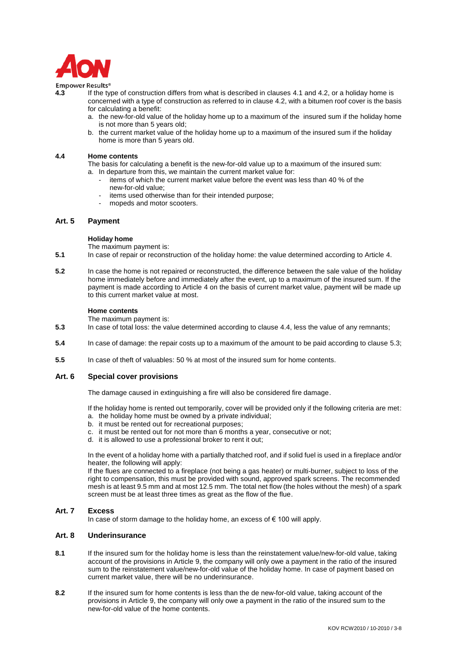

- **4.3** If the type of construction differs from what is described in clauses 4.1 and 4.2, or a holiday home is concerned with a type of construction as referred to in clause 4.2, with a bitumen roof cover is the basis for calculating a benefit:
	- a. the new-for-old value of the holiday home up to a maximum of the insured sum if the holiday home is not more than 5 years old;
	- b. the current market value of the holiday home up to a maximum of the insured sum if the holiday home is more than 5 years old.

#### **4.4 Home contents**

The basis for calculating a benefit is the new-for-old value up to a maximum of the insured sum: a. In departure from this, we maintain the current market value for:

- items of which the current market value before the event was less than 40 % of the new-for-old value;
- items used otherwise than for their intended purpose;
- mopeds and motor scooters.

### **Art. 5 Payment**

#### **Holiday home**

The maximum payment is:

- **5.1** In case of repair or reconstruction of the holiday home: the value determined according to Article 4.
- **5.2** In case the home is not repaired or reconstructed, the difference between the sale value of the holiday home immediately before and immediately after the event, up to a maximum of the insured sum. If the payment is made according to Article 4 on the basis of current market value, payment will be made up to this current market value at most.

#### **Home contents**

The maximum payment is:

- **5.3** In case of total loss: the value determined according to clause 4.4, less the value of any remnants;
- **5.4** In case of damage: the repair costs up to a maximum of the amount to be paid according to clause 5.3;
- **5.5** In case of theft of valuables: 50 % at most of the insured sum for home contents.

### **Art. 6 Special cover provisions**

The damage caused in extinguishing a fire will also be considered fire damage.

If the holiday home is rented out temporarily, cover will be provided only if the following criteria are met: a. the holiday home must be owned by a private individual;

- b. it must be rented out for recreational purposes;
- c. it must be rented out for not more than 6 months a year, consecutive or not;
- d. it is allowed to use a professional broker to rent it out;

In the event of a holiday home with a partially thatched roof, and if solid fuel is used in a fireplace and/or heater, the following will apply:

If the flues are connected to a fireplace (not being a gas heater) or multi-burner, subject to loss of the right to compensation, this must be provided with sound, approved spark screens. The recommended mesh is at least 9.5 mm and at most 12.5 mm. The total net flow (the holes without the mesh) of a spark screen must be at least three times as great as the flow of the flue.

### **Art. 7 Excess**

In case of storm damage to the holiday home, an excess of  $\epsilon$  100 will apply.

### **Art. 8 Underinsurance**

- **8.1** If the insured sum for the holiday home is less than the reinstatement value/new-for-old value, taking account of the provisions in Article 9, the company will only owe a payment in the ratio of the insured sum to the reinstatement value/new-for-old value of the holiday home. In case of payment based on current market value, there will be no underinsurance.
- **8.2** If the insured sum for home contents is less than the de new-for-old value, taking account of the provisions in Article 9, the company will only owe a payment in the ratio of the insured sum to the new-for-old value of the home contents.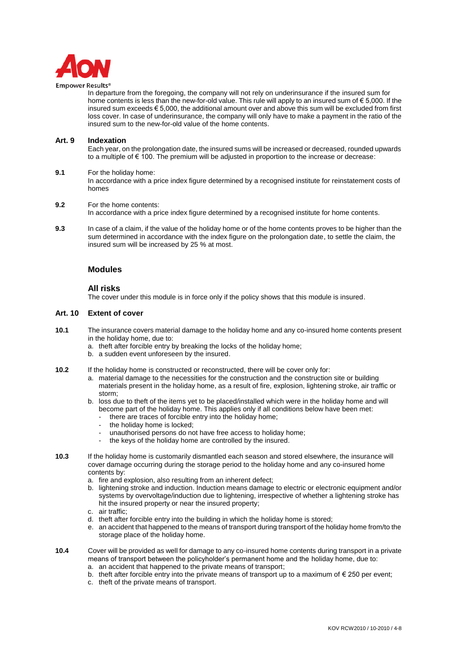

In departure from the foregoing, the company will not rely on underinsurance if the insured sum for home contents is less than the new-for-old value. This rule will apply to an insured sum of € 5,000. If the insured sum exceeds € 5,000, the additional amount over and above this sum will be excluded from first loss cover. In case of underinsurance, the company will only have to make a payment in the ratio of the insured sum to the new-for-old value of the home contents.

### **Art. 9 Indexation**

Each year, on the prolongation date, the insured sums will be increased or decreased, rounded upwards to a multiple of  $\epsilon$  100. The premium will be adjusted in proportion to the increase or decrease:

### **9.1** For the holiday home:

In accordance with a price index figure determined by a recognised institute for reinstatement costs of homes

#### **9.2** For the home contents:

In accordance with a price index figure determined by a recognised institute for home contents.

**9.3** In case of a claim, if the value of the holiday home or of the home contents proves to be higher than the sum determined in accordance with the index figure on the prolongation date, to settle the claim, the insured sum will be increased by 25 % at most.

## **Modules**

### **All risks**

The cover under this module is in force only if the policy shows that this module is insured.

### **Art. 10 Extent of cover**

- **10.1** The insurance covers material damage to the holiday home and any co-insured home contents present in the holiday home, due to:
	- a. theft after forcible entry by breaking the locks of the holiday home;
	- b. a sudden event unforeseen by the insured.
- **10.2** If the holiday home is constructed or reconstructed, there will be cover only for:
	- a. material damage to the necessities for the construction and the construction site or building materials present in the holiday home, as a result of fire, explosion, lightening stroke, air traffic or storm;
	- b. loss due to theft of the items yet to be placed/installed which were in the holiday home and will become part of the holiday home. This applies only if all conditions below have been met:
		- there are traces of forcible entry into the holiday home;
		- the holiday home is locked:
		- unauthorised persons do not have free access to holiday home;
		- the keys of the holiday home are controlled by the insured.
- **10.3** If the holiday home is customarily dismantled each season and stored elsewhere, the insurance will cover damage occurring during the storage period to the holiday home and any co-insured home contents by:
	- a. fire and explosion, also resulting from an inherent defect;
	- b. lightening stroke and induction. Induction means damage to electric or electronic equipment and/or systems by overvoltage/induction due to lightening, irrespective of whether a lightening stroke has hit the insured property or near the insured property;
	- c. air traffic;
	- d. theft after forcible entry into the building in which the holiday home is stored;
	- e. an accident that happened to the means of transport during transport of the holiday home from/to the storage place of the holiday home.
- **10.4** Cover will be provided as well for damage to any co-insured home contents during transport in a private means of transport between the policyholder's permanent home and the holiday home, due to:
	- a. an accident that happened to the private means of transport;
	- b. theft after forcible entry into the private means of transport up to a maximum of  $\epsilon$  250 per event;
	- c. theft of the private means of transport.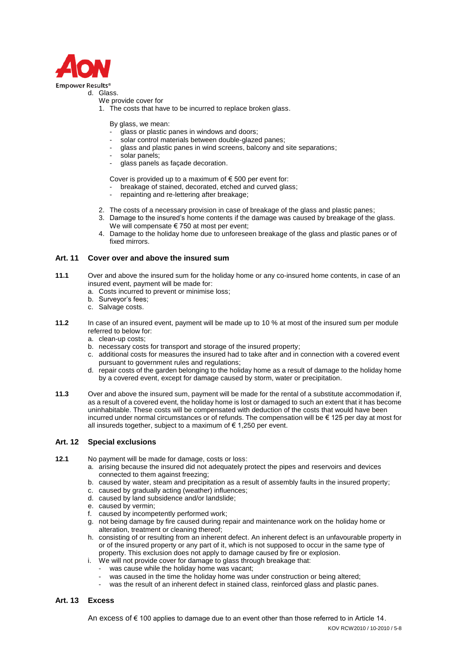

# d. Glass.

- We provide cover for
- 1. The costs that have to be incurred to replace broken glass.

By glass, we mean:

- glass or plastic panes in windows and doors;
- solar control materials between double-glazed panes;
- glass and plastic panes in wind screens, balcony and site separations;
- solar panels:
- glass panels as façade decoration.

Cover is provided up to a maximum of  $\epsilon$  500 per event for:

- breakage of stained, decorated, etched and curved glass;
- repainting and re-lettering after breakage;
- 2. The costs of a necessary provision in case of breakage of the glass and plastic panes;
- 3. Damage to the insured's home contents if the damage was caused by breakage of the glass. We will compensate € 750 at most per event;
- 4. Damage to the holiday home due to unforeseen breakage of the glass and plastic panes or of fixed mirrors.

## **Art. 11 Cover over and above the insured sum**

- **11.1** Over and above the insured sum for the holiday home or any co-insured home contents, in case of an insured event, payment will be made for:
	- a. Costs incurred to prevent or minimise loss;
	- b. Surveyor's fees;
	- c. Salvage costs.
- **11.2** In case of an insured event, payment will be made up to 10 % at most of the insured sum per module referred to below for:
	- a. clean-up costs;
	- b. necessary costs for transport and storage of the insured property;
	- c. additional costs for measures the insured had to take after and in connection with a covered event pursuant to government rules and regulations;
	- d. repair costs of the garden belonging to the holiday home as a result of damage to the holiday home by a covered event, except for damage caused by storm, water or precipitation.
- **11.3** Over and above the insured sum, payment will be made for the rental of a substitute accommodation if, as a result of a covered event, the holiday home is lost or damaged to such an extent that it has become uninhabitable. These costs will be compensated with deduction of the costs that would have been incurred under normal circumstances or of refunds. The compensation will be € 125 per day at most for all insureds together, subject to a maximum of  $\epsilon$  1,250 per event.

## **Art. 12 Special exclusions**

- **12.1** No payment will be made for damage, costs or loss:
	- a. arising because the insured did not adequately protect the pipes and reservoirs and devices connected to them against freezing;
	- b. caused by water, steam and precipitation as a result of assembly faults in the insured property;
	- c. caused by gradually acting (weather) influences;
	- d. caused by land subsidence and/or landslide;
	- e. caused by vermin;
	- f. caused by incompetently performed work;
	- g. not being damage by fire caused during repair and maintenance work on the holiday home or alteration, treatment or cleaning thereof;
	- h. consisting of or resulting from an inherent defect. An inherent defect is an unfavourable property in or of the insured property or any part of it, which is not supposed to occur in the same type of property. This exclusion does not apply to damage caused by fire or explosion.
	- i. We will not provide cover for damage to glass through breakage that:
		- was cause while the holiday home was vacant:
		- was caused in the time the holiday home was under construction or being altered;
		- was the result of an inherent defect in stained class, reinforced glass and plastic panes.

### **Art. 13 Excess**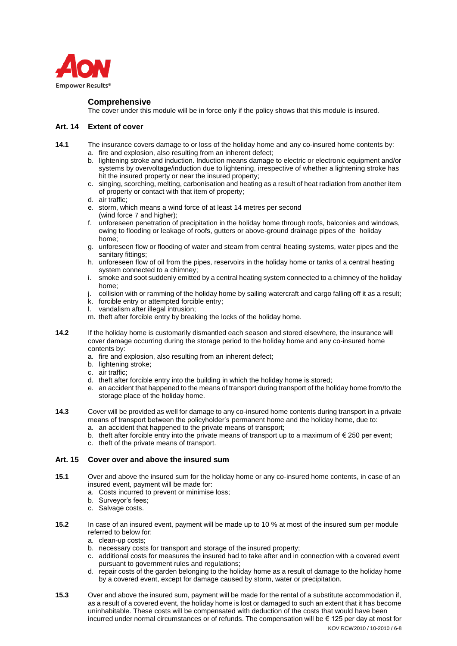

## **Comprehensive**

The cover under this module will be in force only if the policy shows that this module is insured.

## **Art. 14 Extent of cover**

- **14.1** The insurance covers damage to or loss of the holiday home and any co-insured home contents by: a. fire and explosion, also resulting from an inherent defect;
	- b. lightening stroke and induction. Induction means damage to electric or electronic equipment and/or systems by overvoltage/induction due to lightening, irrespective of whether a lightening stroke has hit the insured property or near the insured property;
	- c. singing, scorching, melting, carbonisation and heating as a result of heat radiation from another item of property or contact with that item of property;
	- d. air traffic;
	- e. storm, which means a wind force of at least 14 metres per second (wind force 7 and higher);
	- f. unforeseen penetration of precipitation in the holiday home through roofs, balconies and windows, owing to flooding or leakage of roofs, gutters or above-ground drainage pipes of the holiday home;
	- g. unforeseen flow or flooding of water and steam from central heating systems, water pipes and the sanitary fittings;
	- h. unforeseen flow of oil from the pipes, reservoirs in the holiday home or tanks of a central heating system connected to a chimney;
	- i. smoke and soot suddenly emitted by a central heating system connected to a chimney of the holiday home;
	- collision with or ramming of the holiday home by sailing watercraft and cargo falling off it as a result;
	- k. forcible entry or attempted forcible entry;
	- l. vandalism after illegal intrusion;
	- m. theft after forcible entry by breaking the locks of the holiday home.
- **14.2** If the holiday home is customarily dismantled each season and stored elsewhere, the insurance will cover damage occurring during the storage period to the holiday home and any co-insured home contents by:
	- a. fire and explosion, also resulting from an inherent defect;
	- b. lightening stroke;
	- c. air traffic;
	- d. theft after forcible entry into the building in which the holiday home is stored;
	- e. an accident that happened to the means of transport during transport of the holiday home from/to the storage place of the holiday home.
- **14.3** Cover will be provided as well for damage to any co-insured home contents during transport in a private means of transport between the policyholder's permanent home and the holiday home, due to: a. an accident that happened to the private means of transport;
	- b. theft after forcible entry into the private means of transport up to a maximum of  $\epsilon$  250 per event;
	- c. theft of the private means of transport.

## **Art. 15 Cover over and above the insured sum**

- **15.1** Over and above the insured sum for the holiday home or any co-insured home contents, in case of an insured event, payment will be made for:
	- a. Costs incurred to prevent or minimise loss;
	- b. Surveyor's fees;
	- c. Salvage costs.
- **15.2** In case of an insured event, payment will be made up to 10 % at most of the insured sum per module referred to below for:
	- a. clean-up costs;
	- b. necessary costs for transport and storage of the insured property;
	- c. additional costs for measures the insured had to take after and in connection with a covered event pursuant to government rules and regulations;
	- d. repair costs of the garden belonging to the holiday home as a result of damage to the holiday home by a covered event, except for damage caused by storm, water or precipitation.
- **15.3** Over and above the insured sum, payment will be made for the rental of a substitute accommodation if, as a result of a covered event, the holiday home is lost or damaged to such an extent that it has become uninhabitable. These costs will be compensated with deduction of the costs that would have been incurred under normal circumstances or of refunds. The compensation will be € 125 per day at most for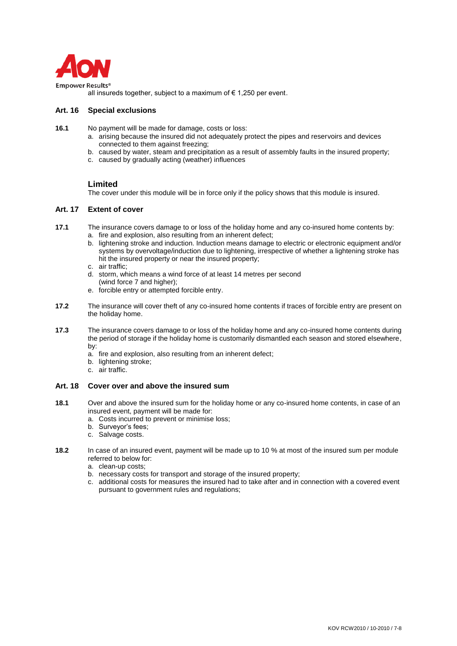

all insureds together, subject to a maximum of  $\epsilon$  1,250 per event.

# **Art. 16 Special exclusions**

- **16.1** No payment will be made for damage, costs or loss:
	- a. arising because the insured did not adequately protect the pipes and reservoirs and devices connected to them against freezing;
	- b. caused by water, steam and precipitation as a result of assembly faults in the insured property;
	- c. caused by gradually acting (weather) influences

# **Limited**

The cover under this module will be in force only if the policy shows that this module is insured.

## **Art. 17 Extent of cover**

- **17.1** The insurance covers damage to or loss of the holiday home and any co-insured home contents by: a. fire and explosion, also resulting from an inherent defect;
	- b. lightening stroke and induction. Induction means damage to electric or electronic equipment and/or systems by overvoltage/induction due to lightening, irrespective of whether a lightening stroke has hit the insured property or near the insured property;
	- c. air traffic;
	- d. storm, which means a wind force of at least 14 metres per second (wind force 7 and higher);
	- e. forcible entry or attempted forcible entry.
- **17.2** The insurance will cover theft of any co-insured home contents if traces of forcible entry are present on the holiday home.
- **17.3** The insurance covers damage to or loss of the holiday home and any co-insured home contents during the period of storage if the holiday home is customarily dismantled each season and stored elsewhere, by:
	- a. fire and explosion, also resulting from an inherent defect;
	- b. lightening stroke;
	- c. air traffic.

## **Art. 18 Cover over and above the insured sum**

- **18.1** Over and above the insured sum for the holiday home or any co-insured home contents, in case of an insured event, payment will be made for:
	- a. Costs incurred to prevent or minimise loss;
	- b. Surveyor's fees;
	- c. Salvage costs.
- **18.2** In case of an insured event, payment will be made up to 10 % at most of the insured sum per module referred to below for:
	- a. clean-up costs;
	- b. necessary costs for transport and storage of the insured property;
	- c. additional costs for measures the insured had to take after and in connection with a covered event pursuant to government rules and regulations;